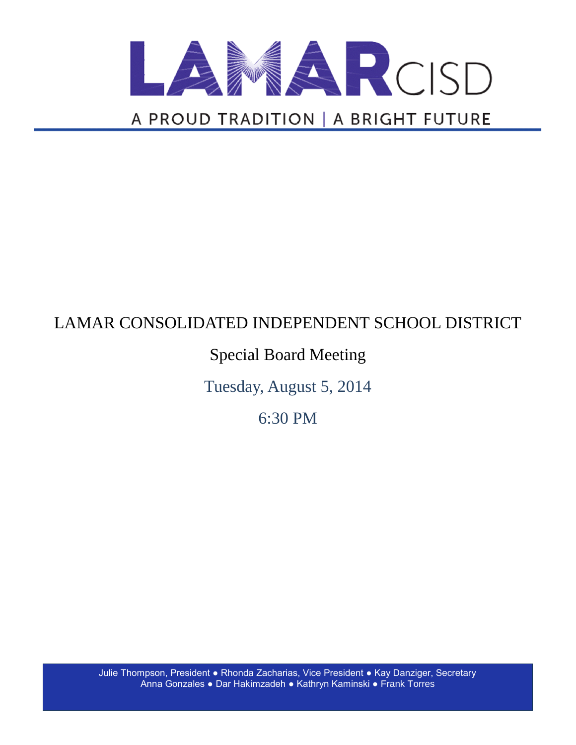

# LAMAR CONSOLIDATED INDEPENDENT SCHOOL DISTRICT

## Special Board Meeting

Tuesday, August 5, 2014

6:30 PM

Julie Thompson, President ● Rhonda Zacharias, Vice President ● Kay Danziger, Secretary Anna Gonzales ● Dar Hakimzadeh ● Kathryn Kaminski ● Frank Torres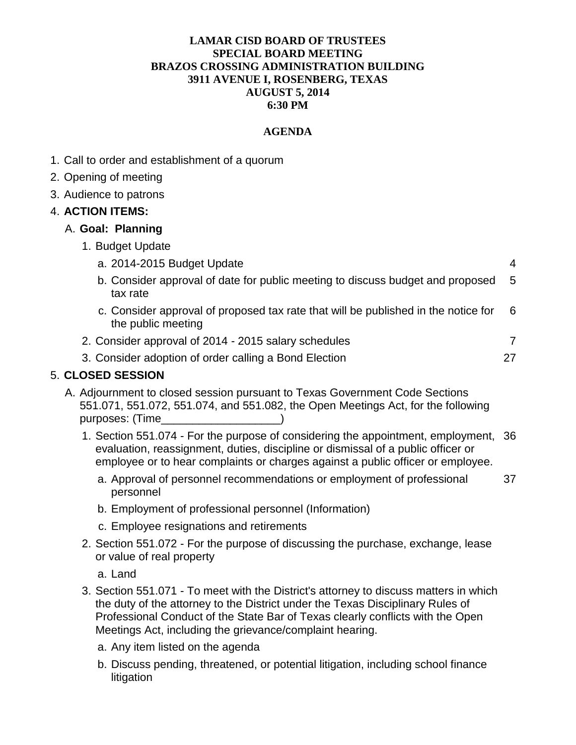#### **LAMAR CISD BOARD OF TRUSTEES SPECIAL BOARD MEETING BRAZOS CROSSING ADMINISTRATION BUILDING 3911 AVENUE I, ROSENBERG, TEXAS AUGUST 5, 2014 6:30 PM**

#### **AGENDA**

- 1. Call to order and establishment of a quorum
- 2. Opening of meeting
- 3. Audience to patrons

#### 4. **ACTION ITEMS:**

#### A. **Goal: Planning**

1. Budget Update

| a. 2014-2015 Budget Update                                                                               | 4   |
|----------------------------------------------------------------------------------------------------------|-----|
| b. Consider approval of date for public meeting to discuss budget and proposed<br>tax rate               | - 5 |
| c. Consider approval of proposed tax rate that will be published in the notice for<br>the public meeting | - 6 |
| 2. Consider approval of 2014 - 2015 salary schedules                                                     | 7   |
| 3. Consider adoption of order calling a Bond Election                                                    | 27  |

#### 5. **CLOSED SESSION**

- A. Adjournment to closed session pursuant to Texas Government Code Sections 551.071, 551.072, 551.074, and 551.082, the Open Meetings Act, for the following purposes: (Time
	- 1. Section 551.074 For the purpose of considering the appointment, employment, 36 evaluation, reassignment, duties, discipline or dismissal of a public officer or employee or to hear complaints or charges against a public officer or employee.
		- a. Approval of personnel recommendations or employment of professional personnel 37
		- b. Employment of professional personnel (Information)
		- c. Employee resignations and retirements
	- 2. Section 551.072 For the purpose of discussing the purchase, exchange, lease or value of real property
		- a. Land
	- 3. Section 551.071 To meet with the District's attorney to discuss matters in which the duty of the attorney to the District under the Texas Disciplinary Rules of Professional Conduct of the State Bar of Texas clearly conflicts with the Open Meetings Act, including the grievance/complaint hearing.
		- a. Any item listed on the agenda
		- b. Discuss pending, threatened, or potential litigation, including school finance litigation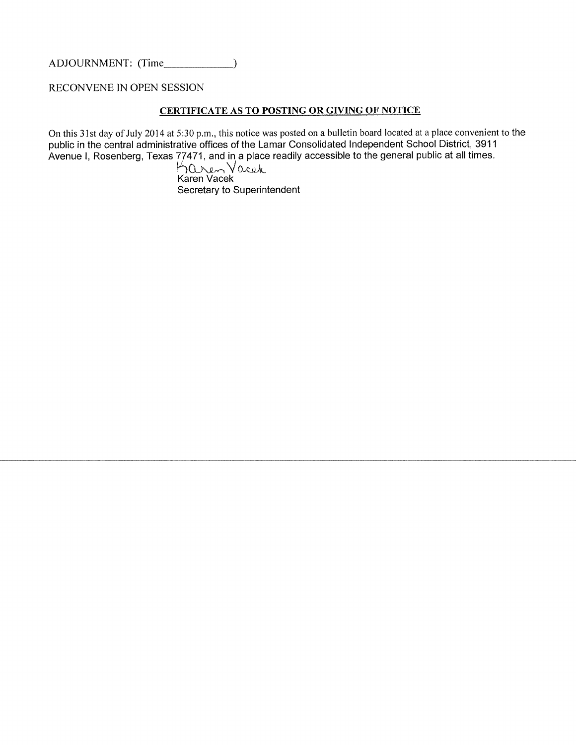RECONVENE IN OPEN SESSION

#### CERTIFICATE AS TO POSTING OR GIVING OF NOTICE

On this 31st day of July 2014 at 5:30 p.m., this notice was posted on a bulletin board located at a place convenient to the public in the central administrative offices of the Lamar Consolidated Independent School District, 3911 Avenue I, Rosenberg, Texas 77471, and in a place readily accessible to the general public at all times.<br> $\bigwedge_{K \in \mathbb{R}} \mathbb{C} \setminus \mathbb{C} \setminus \mathbb{C}$ <br>Karen Vacek

Secretary to Superintendent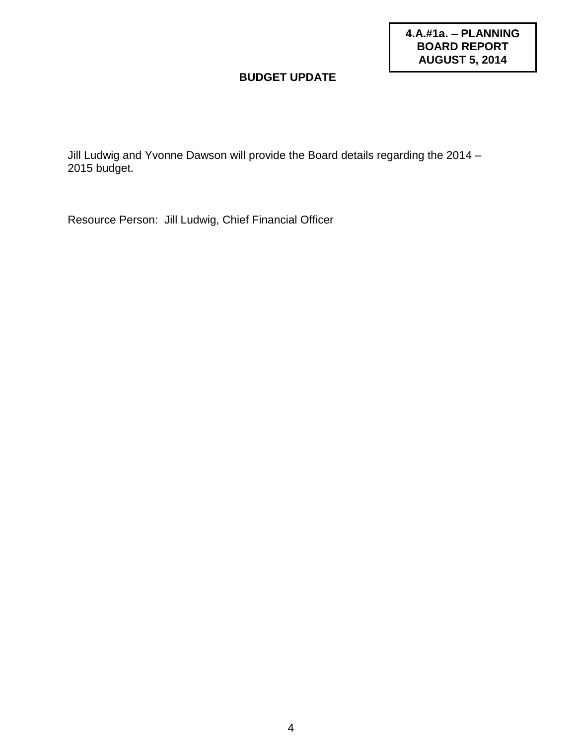**4.A.#1a. – PLANNING BOARD REPORT AUGUST 5, 2014**

#### **BUDGET UPDATE**

Jill Ludwig and Yvonne Dawson will provide the Board details regarding the 2014 – 2015 budget.

Resource Person: Jill Ludwig, Chief Financial Officer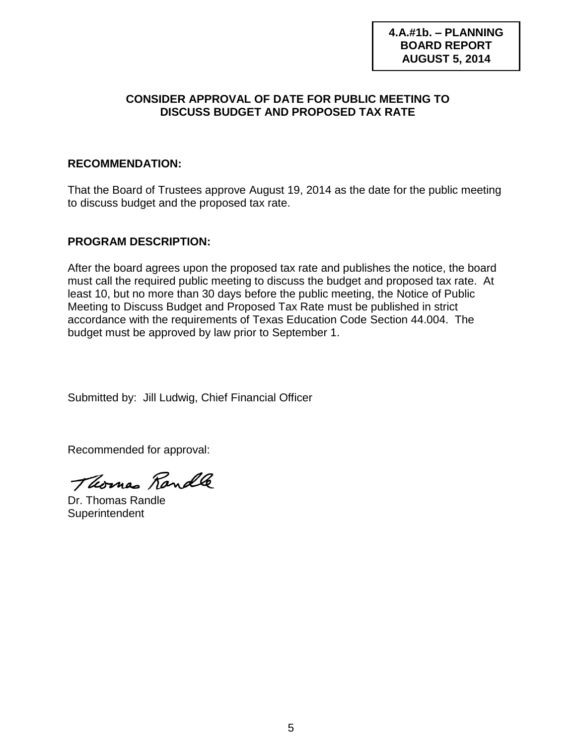**4.A.#1b. – PLANNING BOARD REPORT AUGUST 5, 2014**

#### **CONSIDER APPROVAL OF DATE FOR PUBLIC MEETING TO DISCUSS BUDGET AND PROPOSED TAX RATE**

#### **RECOMMENDATION:**

That the Board of Trustees approve August 19, 2014 as the date for the public meeting to discuss budget and the proposed tax rate.

#### **PROGRAM DESCRIPTION:**

After the board agrees upon the proposed tax rate and publishes the notice, the board must call the required public meeting to discuss the budget and proposed tax rate. At least 10, but no more than 30 days before the public meeting, the Notice of Public Meeting to Discuss Budget and Proposed Tax Rate must be published in strict accordance with the requirements of Texas Education Code Section 44.004. The budget must be approved by law prior to September 1.

Submitted by: Jill Ludwig, Chief Financial Officer

Thomas Randle

Dr. Thomas Randle **Superintendent**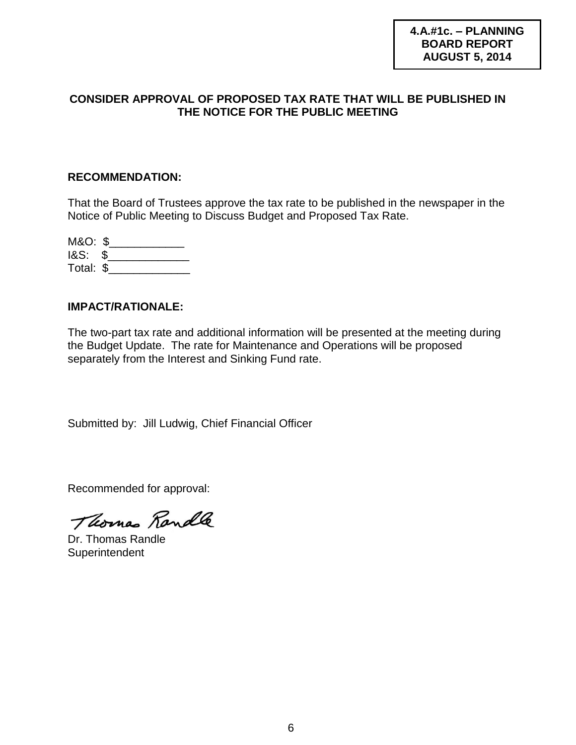#### **CONSIDER APPROVAL OF PROPOSED TAX RATE THAT WILL BE PUBLISHED IN THE NOTICE FOR THE PUBLIC MEETING**

#### **RECOMMENDATION:**

That the Board of Trustees approve the tax rate to be published in the newspaper in the Notice of Public Meeting to Discuss Budget and Proposed Tax Rate.

| M&O: \$            |  |
|--------------------|--|
| <b>1&amp;S: \$</b> |  |
| Total: \$          |  |

#### **IMPACT/RATIONALE:**

The two-part tax rate and additional information will be presented at the meeting during the Budget Update. The rate for Maintenance and Operations will be proposed separately from the Interest and Sinking Fund rate.

Submitted by: Jill Ludwig, Chief Financial Officer

Thomas Randle

Dr. Thomas Randle **Superintendent**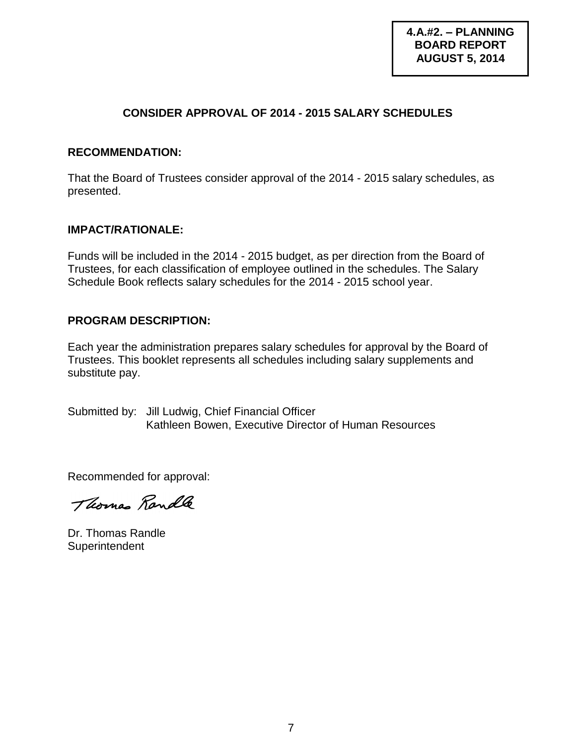#### **CONSIDER APPROVAL OF 2014 - 2015 SALARY SCHEDULES**

#### **RECOMMENDATION:**

That the Board of Trustees consider approval of the 2014 - 2015 salary schedules, as presented.

#### **IMPACT/RATIONALE:**

Funds will be included in the 2014 - 2015 budget, as per direction from the Board of Trustees, for each classification of employee outlined in the schedules. The Salary Schedule Book reflects salary schedules for the 2014 - 2015 school year.

#### **PROGRAM DESCRIPTION:**

Each year the administration prepares salary schedules for approval by the Board of Trustees. This booklet represents all schedules including salary supplements and substitute pay.

Submitted by: Jill Ludwig, Chief Financial Officer Kathleen Bowen, Executive Director of Human Resources

Thomas Randle

Dr. Thomas Randle **Superintendent**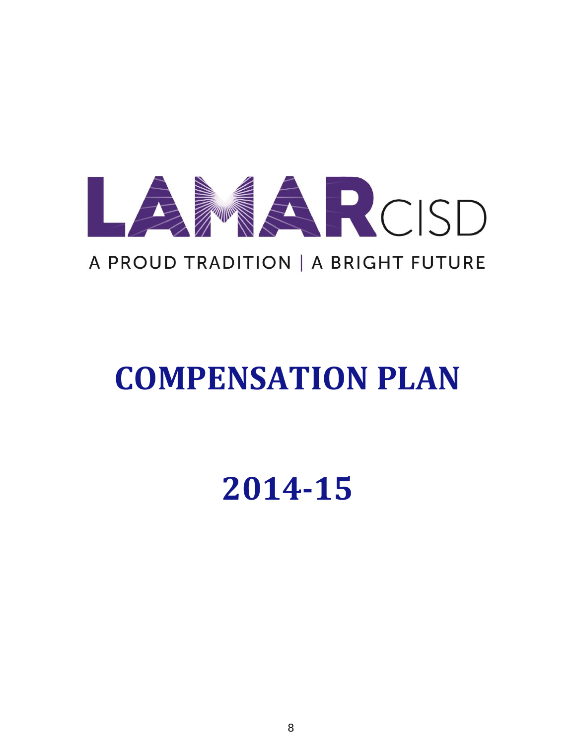

# **COMPENSATION PLAN**

**2014-15**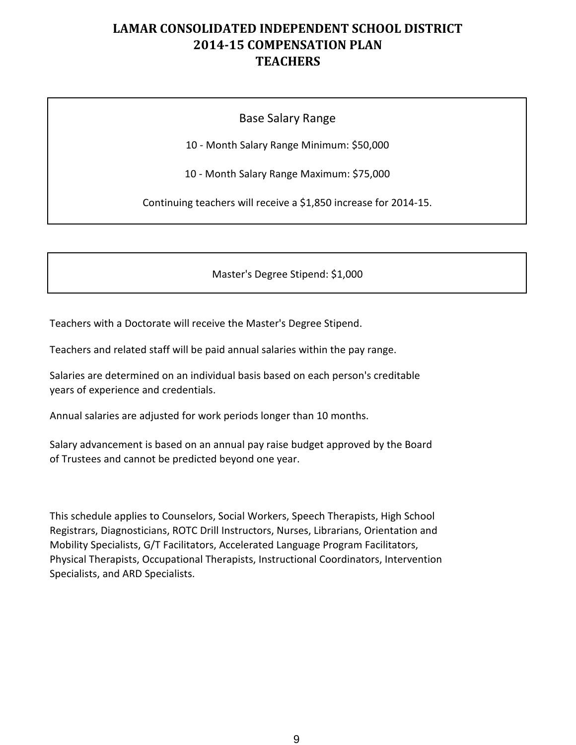#### Base Salary Range

10 - Month Salary Range Minimum: \$50,000

10 - Month Salary Range Maximum: \$75,000

Continuing teachers will receive a \$1,850 increase for 2014-15.

Master's Degree Stipend: \$1,000

Teachers with a Doctorate will receive the Master's Degree Stipend.

Teachers and related staff will be paid annual salaries within the pay range.

Salaries are determined on an individual basis based on each person's creditable years of experience and credentials.

Annual salaries are adjusted for work periods longer than 10 months.

Salary advancement is based on an annual pay raise budget approved by the Board of Trustees and cannot be predicted beyond one year.

This schedule applies to Counselors, Social Workers, Speech Therapists, High School Registrars, Diagnosticians, ROTC Drill Instructors, Nurses, Librarians, Orientation and Mobility Specialists, G/T Facilitators, Accelerated Language Program Facilitators, Physical Therapists, Occupational Therapists, Instructional Coordinators, Intervention Specialists, and ARD Specialists.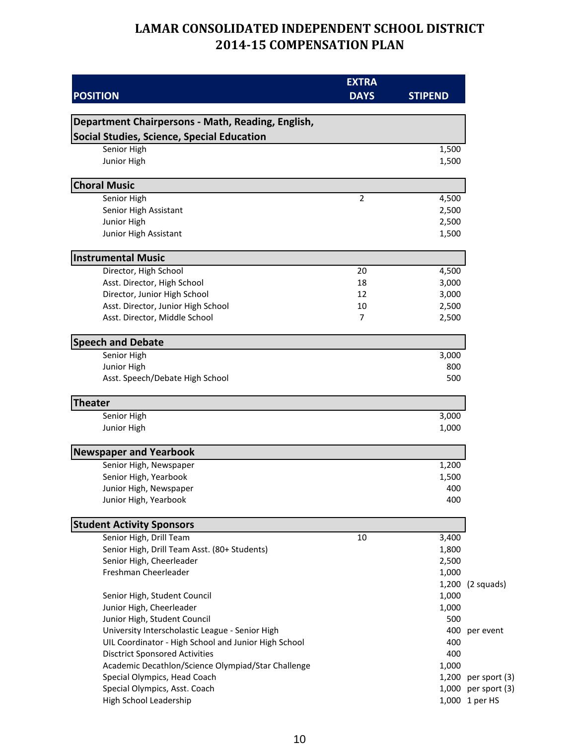| <b>POSITION</b>                                             | <b>EXTRA</b><br><b>DAYS</b> | <b>STIPEND</b> |                |
|-------------------------------------------------------------|-----------------------------|----------------|----------------|
| Department Chairpersons - Math, Reading, English,           |                             |                |                |
| <b>Social Studies, Science, Special Education</b>           |                             |                |                |
| Senior High                                                 |                             | 1,500          |                |
| Junior High                                                 |                             | 1,500          |                |
| <b>Choral Music</b>                                         |                             |                |                |
| Senior High                                                 | $\overline{2}$              | 4,500          |                |
| Senior High Assistant                                       |                             | 2,500          |                |
| Junior High                                                 |                             | 2,500          |                |
| Junior High Assistant                                       |                             | 1,500          |                |
| <b>Instrumental Music</b>                                   |                             |                |                |
| Director, High School                                       | 20                          | 4,500          |                |
| Asst. Director, High School                                 | 18                          | 3,000          |                |
| Director, Junior High School                                | 12                          | 3,000          |                |
| Asst. Director, Junior High School                          | 10                          | 2,500          |                |
| Asst. Director, Middle School                               | $\overline{7}$              | 2,500          |                |
| <b>Speech and Debate</b>                                    |                             |                |                |
| Senior High                                                 |                             | 3,000          |                |
| Junior High                                                 |                             | 800            |                |
| Asst. Speech/Debate High School                             |                             | 500            |                |
| <b>Theater</b>                                              |                             |                |                |
| Senior High                                                 |                             | 3,000          |                |
| Junior High                                                 |                             | 1,000          |                |
| <b>Newspaper and Yearbook</b>                               |                             |                |                |
| Senior High, Newspaper                                      |                             | 1,200          |                |
| Senior High, Yearbook                                       |                             | 1,500          |                |
| Junior High, Newspaper<br>Junior High, Yearbook             |                             | 400<br>400     |                |
|                                                             |                             |                |                |
| <b>Student Activity Sponsors</b><br>Senior High, Drill Team | 10                          | 3,400          |                |
| Senior High, Drill Team Asst. (80+ Students)                |                             | 1,800          |                |
| Senior High, Cheerleader                                    |                             | 2,500          |                |
| Freshman Cheerleader                                        |                             | 1,000          |                |
|                                                             |                             | 1,200          | (2 squads)     |
| Senior High, Student Council                                |                             | 1,000          |                |
| Junior High, Cheerleader                                    |                             | 1,000          |                |
| Junior High, Student Council                                |                             | 500            |                |
| University Interscholastic League - Senior High             |                             | 400            | per event      |
| UIL Coordinator - High School and Junior High School        |                             | 400            |                |
| <b>Disctrict Sponsored Activities</b>                       |                             | 400            |                |
| Academic Decathlon/Science Olympiad/Star Challenge          |                             | 1,000          |                |
| Special Olympics, Head Coach                                |                             | 1,200          | per sport (3)  |
| Special Olympics, Asst. Coach                               |                             | 1,000          | per sport (3)  |
| High School Leadership                                      |                             |                | 1,000 1 per HS |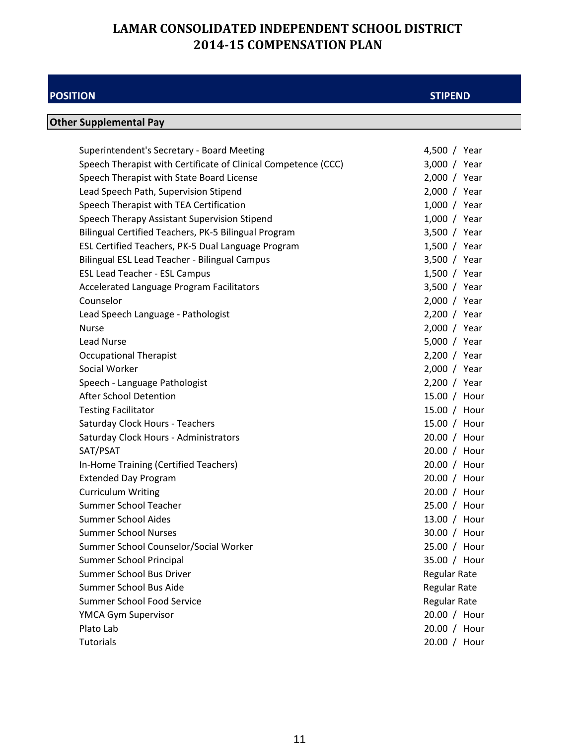#### **POSITION**

#### **STIPEND**

## **Other Supplemental Pay**

| Superintendent's Secretary - Board Meeting                     | 4,500 / Year        |
|----------------------------------------------------------------|---------------------|
| Speech Therapist with Certificate of Clinical Competence (CCC) | 3,000 / Year        |
| Speech Therapist with State Board License                      | 2,000 / Year        |
| Lead Speech Path, Supervision Stipend                          | 2,000 / Year        |
| Speech Therapist with TEA Certification                        | 1,000 / Year        |
| Speech Therapy Assistant Supervision Stipend                   | 1,000 / Year        |
| Bilingual Certified Teachers, PK-5 Bilingual Program           | 3,500 / Year        |
| ESL Certified Teachers, PK-5 Dual Language Program             | 1,500 / Year        |
| Bilingual ESL Lead Teacher - Bilingual Campus                  | 3,500 / Year        |
| <b>ESL Lead Teacher - ESL Campus</b>                           | 1,500 / Year        |
| Accelerated Language Program Facilitators                      | 3,500 / Year        |
| Counselor                                                      | 2,000 / Year        |
| Lead Speech Language - Pathologist                             | 2,200 / Year        |
| <b>Nurse</b>                                                   | 2,000 / Year        |
| <b>Lead Nurse</b>                                              | 5,000 / Year        |
| <b>Occupational Therapist</b>                                  | 2,200 / Year        |
| Social Worker                                                  | 2,000 / Year        |
| Speech - Language Pathologist                                  | 2,200 / Year        |
| <b>After School Detention</b>                                  | 15.00 / Hour        |
| <b>Testing Facilitator</b>                                     | 15.00 / Hour        |
| Saturday Clock Hours - Teachers                                | 15.00 / Hour        |
| Saturday Clock Hours - Administrators                          | 20.00 / Hour        |
| SAT/PSAT                                                       | 20.00 / Hour        |
| In-Home Training (Certified Teachers)                          | 20.00 / Hour        |
| <b>Extended Day Program</b>                                    | 20.00 / Hour        |
| <b>Curriculum Writing</b>                                      | 20.00 / Hour        |
| Summer School Teacher                                          | 25.00 / Hour        |
| <b>Summer School Aides</b>                                     | 13.00 / Hour        |
| <b>Summer School Nurses</b>                                    | 30.00 / Hour        |
| Summer School Counselor/Social Worker                          | 25.00 / Hour        |
| Summer School Principal                                        | 35.00 / Hour        |
| Summer School Bus Driver                                       | <b>Regular Rate</b> |
| Summer School Bus Aide                                         | Regular Rate        |
| <b>Summer School Food Service</b>                              | Regular Rate        |
| YMCA Gym Supervisor                                            | 20.00 / Hour        |
| Plato Lab                                                      | 20.00 / Hour        |
| <b>Tutorials</b>                                               | 20.00 / Hour        |
|                                                                |                     |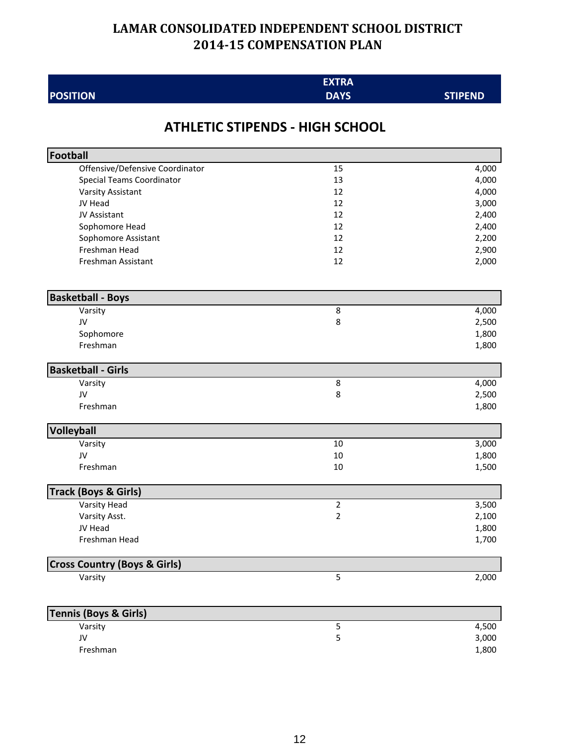| <b>EXTRA</b> |
|--------------|
| <b>DAVC</b>  |

#### **STIPEND**

## **ATHLETIC STIPENDS - HIGH SCHOOL**

**POSITION**

| Football                                |    |       |
|-----------------------------------------|----|-------|
| Offensive/Defensive Coordinator         | 15 | 4,000 |
| <b>Special Teams Coordinator</b>        | 13 | 4,000 |
| Varsity Assistant                       | 12 | 4,000 |
| JV Head                                 | 12 | 3,000 |
| JV Assistant                            | 12 | 2,400 |
| Sophomore Head                          | 12 | 2,400 |
| Sophomore Assistant                     | 12 | 2,200 |
| Freshman Head                           | 12 | 2,900 |
| Freshman Assistant                      | 12 | 2,000 |
| <b>Basketball - Boys</b>                |    |       |
| Varsity                                 | 8  | 4,000 |
| JV                                      | 8  | 2,500 |
| Sophomore                               |    | 1,800 |
| Freshman                                |    | 1,800 |
| <b>Basketball - Girls</b>               |    |       |
| Varsity                                 | 8  | 4,000 |
| JV                                      | 8  | 2,500 |
| Freshman                                |    | 1,800 |
| Volleyball                              |    |       |
| Varsity                                 | 10 | 3,000 |
| JV                                      | 10 | 1,800 |
| Freshman                                | 10 | 1,500 |
| <b>Track (Boys &amp; Girls)</b>         |    |       |
| Varsity Head                            | 2  | 3,500 |
| Varsity Asst.                           | 2  | 2,100 |
| JV Head                                 |    | 1,800 |
| Freshman Head                           |    | 1,700 |
| <b>Cross Country (Boys &amp; Girls)</b> |    |       |
| Varsity                                 | 5  | 2,000 |
| Tennis (Boys & Girls)                   |    |       |
| Varsity                                 | 5  | 4,500 |
| JV                                      | 5  | 3,000 |
| Freshman                                |    | 1,800 |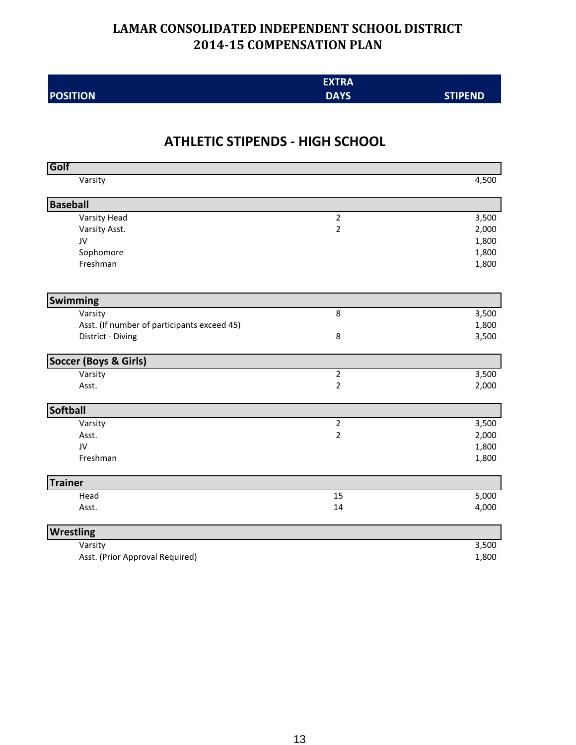|                 | <b>EXTRA</b> |                |
|-----------------|--------------|----------------|
| <b>POSITION</b> | <b>DAYS</b>  | <b>STIPEND</b> |

## **ATHLETIC STIPENDS - HIGH SCHOOL**

| Golf                                        |                         |       |
|---------------------------------------------|-------------------------|-------|
| Varsity                                     |                         | 4,500 |
| <b>Baseball</b>                             |                         |       |
| Varsity Head                                | $\mathbf 2$             | 3,500 |
| Varsity Asst.                               | $\overline{2}$          | 2,000 |
| JV                                          |                         | 1,800 |
| Sophomore                                   |                         | 1,800 |
| Freshman                                    |                         | 1,800 |
| Swimming                                    |                         |       |
| Varsity                                     | 8                       | 3,500 |
| Asst. (If number of participants exceed 45) |                         | 1,800 |
| District - Diving                           | 8                       | 3,500 |
| <b>Soccer (Boys &amp; Girls)</b>            |                         |       |
| Varsity                                     | $\overline{\mathbf{c}}$ | 3,500 |
| Asst.                                       | 2                       | 2,000 |
| Softball                                    |                         |       |
| Varsity                                     | $\overline{c}$          | 3,500 |
| Asst.                                       | $\overline{\mathbf{c}}$ | 2,000 |
| JV                                          |                         | 1,800 |
| Freshman                                    |                         | 1,800 |
| <b>Trainer</b>                              |                         |       |
| Head                                        | 15                      | 5,000 |
| Asst.                                       | 14                      | 4,000 |
| <b>Wrestling</b>                            |                         |       |
| Varsity                                     |                         | 3,500 |
| Asst. (Prior Approval Required)             |                         | 1,800 |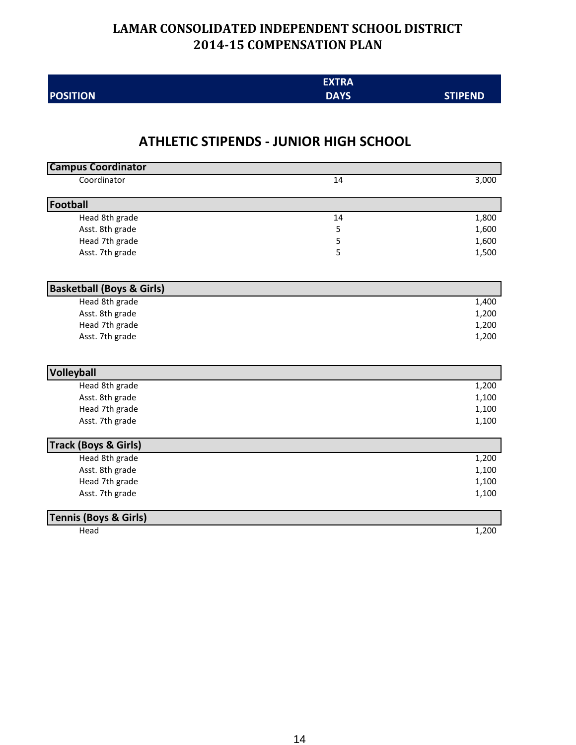|                 | <b>EXTRA</b> |                |
|-----------------|--------------|----------------|
| <b>POSITION</b> | <b>DAYS</b>  | <b>STIPEND</b> |

#### **ATHLETIC STIPENDS - JUNIOR HIGH SCHOOL**

| <b>Campus Coordinator</b>            |    |       |
|--------------------------------------|----|-------|
| Coordinator                          | 14 | 3,000 |
| Football                             |    |       |
| Head 8th grade                       | 14 | 1,800 |
| Asst. 8th grade                      | 5  | 1,600 |
| Head 7th grade                       | 5  | 1,600 |
| Asst. 7th grade                      | 5  | 1,500 |
| <b>Basketball (Boys &amp; Girls)</b> |    |       |
| Head 8th grade                       |    | 1,400 |
| Asst. 8th grade                      |    | 1,200 |
| Head 7th grade                       |    | 1,200 |
| Asst. 7th grade                      |    | 1,200 |
| Volleyball                           |    |       |
| Head 8th grade                       |    | 1,200 |
| Asst. 8th grade                      |    | 1,100 |
| Head 7th grade                       |    | 1,100 |
| Asst. 7th grade                      |    | 1,100 |
| <b>Track (Boys &amp; Girls)</b>      |    |       |
| Head 8th grade                       |    | 1,200 |
| Asst. 8th grade                      |    | 1,100 |
| Head 7th grade                       |    | 1,100 |
| Asst. 7th grade                      |    | 1,100 |
| <b>Tennis (Boys &amp; Girls)</b>     |    |       |
| Head                                 |    | 1,200 |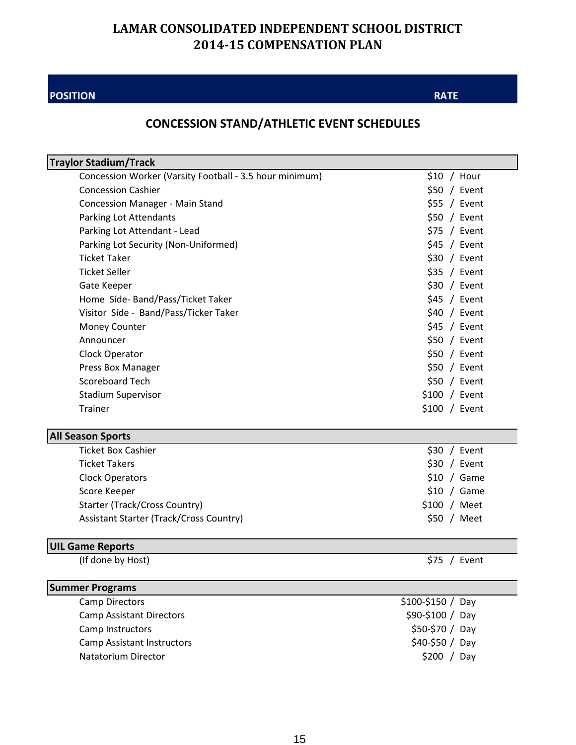#### **POSITION**

#### **RATE**

## **CONCESSION STAND/ATHLETIC EVENT SCHEDULES**

| <b>Traylor Stadium/Track</b>                             |                                |
|----------------------------------------------------------|--------------------------------|
| Concession Worker (Varsity Football - 3.5 hour minimum)  | $$10 /$ Hour                   |
| <b>Concession Cashier</b>                                | \$50 / Event                   |
| <b>Concession Manager - Main Stand</b>                   | $$55 /$ Event                  |
| <b>Parking Lot Attendants</b>                            | \$50 / Event                   |
| Parking Lot Attendant - Lead                             | $$75$ / Event                  |
| Parking Lot Security (Non-Uniformed)                     | $$45 /$ Event                  |
| <b>Ticket Taker</b>                                      | \$30 / Event                   |
| <b>Ticket Seller</b>                                     | $$35$ / Event                  |
| Gate Keeper                                              | \$30 / Event                   |
| Home Side-Band/Pass/Ticket Taker                         | $$45 /$ Event                  |
| Visitor Side - Band/Pass/Ticker Taker                    | $$40 /$ Event                  |
| <b>Money Counter</b>                                     | $$45$ / Event                  |
| Announcer                                                | $$50 /$ Event                  |
| Clock Operator                                           | \$50 / Event                   |
| Press Box Manager                                        | \$50 / Event                   |
| <b>Scoreboard Tech</b>                                   | $$50 /$ Event                  |
| <b>Stadium Supervisor</b>                                | $$100 /$ Event                 |
| Trainer                                                  | \$100 / Event                  |
| <b>All Season Sports</b>                                 |                                |
|                                                          |                                |
| <b>Ticket Box Cashier</b>                                | $$30 /$ Event                  |
| <b>Ticket Takers</b>                                     | $$30 /$ Event                  |
| <b>Clock Operators</b>                                   | $$10 /$ Game                   |
| Score Keeper                                             | $$10 /$ Game                   |
| <b>Starter (Track/Cross Country)</b>                     | $$100 /$ Meet                  |
| Assistant Starter (Track/Cross Country)                  | \$50 / Meet                    |
|                                                          |                                |
| <b>UIL Game Reports</b><br>(If done by Host)             | $$75$ / Event                  |
|                                                          |                                |
| <b>Summer Programs</b>                                   |                                |
| <b>Camp Directors</b>                                    | $$100-\$150 / Day$             |
| <b>Camp Assistant Directors</b>                          | \$90-\$100 / Day               |
| Camp Instructors                                         | \$50-\$70 / Day                |
| <b>Camp Assistant Instructors</b><br>Natatorium Director | \$40-\$50 / Day<br>\$200 / Day |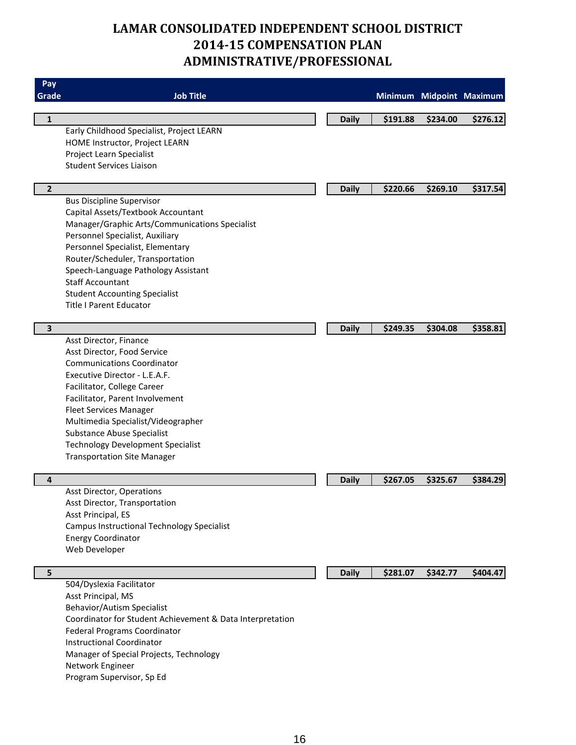## **LAMAR CONSOLIDATED INDEPENDENT SCHOOL DISTRICT 2014-15 COMPENSATION PLAN ADMINISTRATIVE/PROFESSIONAL**

| Pay            |                                                           |              |                          |          |          |
|----------------|-----------------------------------------------------------|--------------|--------------------------|----------|----------|
| Grade          | <b>Job Title</b>                                          |              | Minimum Midpoint Maximum |          |          |
| $\mathbf 1$    |                                                           | <b>Daily</b> | \$191.88                 | \$234.00 | \$276.12 |
|                | Early Childhood Specialist, Project LEARN                 |              |                          |          |          |
|                | HOME Instructor, Project LEARN                            |              |                          |          |          |
|                | Project Learn Specialist                                  |              |                          |          |          |
|                | <b>Student Services Liaison</b>                           |              |                          |          |          |
| $\overline{2}$ |                                                           | <b>Daily</b> | \$220.66                 | \$269.10 | \$317.54 |
|                | <b>Bus Discipline Supervisor</b>                          |              |                          |          |          |
|                | Capital Assets/Textbook Accountant                        |              |                          |          |          |
|                | Manager/Graphic Arts/Communications Specialist            |              |                          |          |          |
|                | Personnel Specialist, Auxiliary                           |              |                          |          |          |
|                | Personnel Specialist, Elementary                          |              |                          |          |          |
|                | Router/Scheduler, Transportation                          |              |                          |          |          |
|                | Speech-Language Pathology Assistant                       |              |                          |          |          |
|                | <b>Staff Accountant</b>                                   |              |                          |          |          |
|                | <b>Student Accounting Specialist</b>                      |              |                          |          |          |
|                | <b>Title I Parent Educator</b>                            |              |                          |          |          |
| 3              |                                                           | <b>Daily</b> | \$249.35                 | \$304.08 | \$358.81 |
|                | Asst Director, Finance                                    |              |                          |          |          |
|                | Asst Director, Food Service                               |              |                          |          |          |
|                | <b>Communications Coordinator</b>                         |              |                          |          |          |
|                | Executive Director - L.E.A.F.                             |              |                          |          |          |
|                | Facilitator, College Career                               |              |                          |          |          |
|                | Facilitator, Parent Involvement                           |              |                          |          |          |
|                | <b>Fleet Services Manager</b>                             |              |                          |          |          |
|                | Multimedia Specialist/Videographer                        |              |                          |          |          |
|                | Substance Abuse Specialist                                |              |                          |          |          |
|                | <b>Technology Development Specialist</b>                  |              |                          |          |          |
|                | <b>Transportation Site Manager</b>                        |              |                          |          |          |
| 4              |                                                           | <b>Daily</b> | \$267.05                 | \$325.67 | \$384.29 |
|                | Asst Director, Operations                                 |              |                          |          |          |
|                | Asst Director, Transportation                             |              |                          |          |          |
|                | Asst Principal, ES                                        |              |                          |          |          |
|                | Campus Instructional Technology Specialist                |              |                          |          |          |
|                | <b>Energy Coordinator</b>                                 |              |                          |          |          |
|                | Web Developer                                             |              |                          |          |          |
| 5              |                                                           | <b>Daily</b> | \$281.07                 | \$342.77 | \$404.47 |
|                | 504/Dyslexia Facilitator                                  |              |                          |          |          |
|                | Asst Principal, MS                                        |              |                          |          |          |
|                | <b>Behavior/Autism Specialist</b>                         |              |                          |          |          |
|                | Coordinator for Student Achievement & Data Interpretation |              |                          |          |          |
|                | Federal Programs Coordinator                              |              |                          |          |          |
|                | <b>Instructional Coordinator</b>                          |              |                          |          |          |
|                | Manager of Special Projects, Technology                   |              |                          |          |          |
|                | Network Engineer                                          |              |                          |          |          |
|                | Program Supervisor, Sp Ed                                 |              |                          |          |          |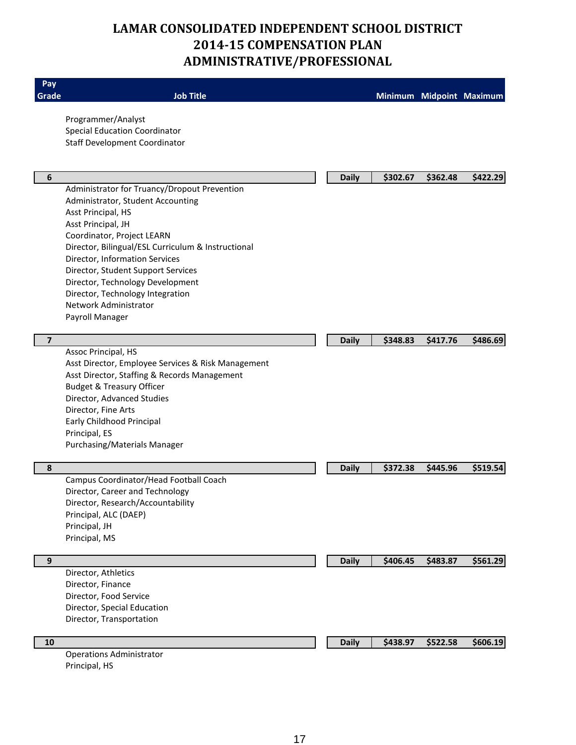## **LAMAR CONSOLIDATED INDEPENDENT SCHOOL DISTRICT 2014-15 COMPENSATION PLAN ADMINISTRATIVE/PROFESSIONAL**

| Pay              |                                                    |              |          |          |                          |
|------------------|----------------------------------------------------|--------------|----------|----------|--------------------------|
| Grade            | <b>Job Title</b>                                   |              |          |          | Minimum Midpoint Maximum |
|                  | Programmer/Analyst                                 |              |          |          |                          |
|                  | <b>Special Education Coordinator</b>               |              |          |          |                          |
|                  | <b>Staff Development Coordinator</b>               |              |          |          |                          |
|                  |                                                    |              |          |          |                          |
| 6                |                                                    | <b>Daily</b> | \$302.67 | \$362.48 | \$422.29                 |
|                  | Administrator for Truancy/Dropout Prevention       |              |          |          |                          |
|                  | Administrator, Student Accounting                  |              |          |          |                          |
|                  | Asst Principal, HS                                 |              |          |          |                          |
|                  | Asst Principal, JH                                 |              |          |          |                          |
|                  | Coordinator, Project LEARN                         |              |          |          |                          |
|                  | Director, Bilingual/ESL Curriculum & Instructional |              |          |          |                          |
|                  | Director, Information Services                     |              |          |          |                          |
|                  | Director, Student Support Services                 |              |          |          |                          |
|                  | Director, Technology Development                   |              |          |          |                          |
|                  | Director, Technology Integration                   |              |          |          |                          |
|                  | Network Administrator                              |              |          |          |                          |
|                  | Payroll Manager                                    |              |          |          |                          |
| $\overline{7}$   |                                                    |              |          |          |                          |
|                  | Assoc Principal, HS                                | <b>Daily</b> | \$348.83 | \$417.76 | \$486.69                 |
|                  | Asst Director, Employee Services & Risk Management |              |          |          |                          |
|                  | Asst Director, Staffing & Records Management       |              |          |          |                          |
|                  | <b>Budget &amp; Treasury Officer</b>               |              |          |          |                          |
|                  | Director, Advanced Studies                         |              |          |          |                          |
|                  | Director, Fine Arts                                |              |          |          |                          |
|                  | Early Childhood Principal                          |              |          |          |                          |
|                  | Principal, ES                                      |              |          |          |                          |
|                  | Purchasing/Materials Manager                       |              |          |          |                          |
| 8                |                                                    | <b>Daily</b> | \$372.38 | \$445.96 | \$519.54                 |
|                  | Campus Coordinator/Head Football Coach             |              |          |          |                          |
|                  | Director, Career and Technology                    |              |          |          |                          |
|                  | Director, Research/Accountability                  |              |          |          |                          |
|                  | Principal, ALC (DAEP)                              |              |          |          |                          |
|                  | Principal, JH                                      |              |          |          |                          |
|                  | Principal, MS                                      |              |          |          |                          |
|                  |                                                    |              |          |          |                          |
| $\boldsymbol{9}$ |                                                    | <b>Daily</b> | \$406.45 | \$483.87 | \$561.29                 |
|                  | Director, Athletics<br>Director, Finance           |              |          |          |                          |
|                  | Director, Food Service                             |              |          |          |                          |
|                  | Director, Special Education                        |              |          |          |                          |
|                  | Director, Transportation                           |              |          |          |                          |
|                  |                                                    |              |          |          |                          |
| 10               |                                                    | <b>Daily</b> | \$438.97 | \$522.58 | \$606.19                 |
|                  | <b>Operations Administrator</b>                    |              |          |          |                          |
|                  | Principal, HS                                      |              |          |          |                          |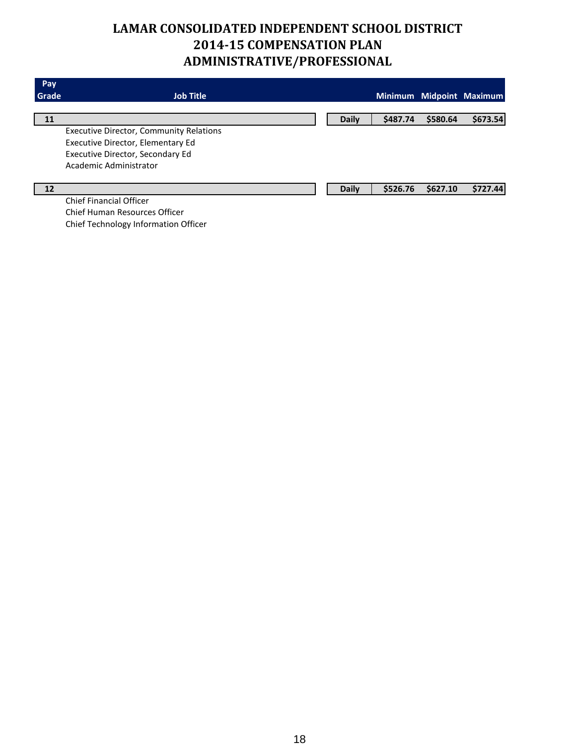## **LAMAR CONSOLIDATED INDEPENDENT SCHOOL DISTRICT 2014-15 COMPENSATION PLAN ADMINISTRATIVE/PROFESSIONAL**

| <b>Pay</b> |                                                |              |          |          |                          |
|------------|------------------------------------------------|--------------|----------|----------|--------------------------|
| Grade      | <b>Job Title</b>                               |              |          |          | Minimum Midpoint Maximum |
|            |                                                |              |          |          |                          |
| 11         |                                                | <b>Daily</b> | \$487.74 | \$580.64 | \$673.54                 |
|            | <b>Executive Director, Community Relations</b> |              |          |          |                          |
|            | Executive Director, Elementary Ed              |              |          |          |                          |
|            | Executive Director, Secondary Ed               |              |          |          |                          |
|            | Academic Administrator                         |              |          |          |                          |
|            |                                                |              |          |          |                          |
| 12         |                                                | <b>Daily</b> | \$526.76 | \$627.10 | \$727.44                 |
|            | <b>Chief Financial Officer</b>                 |              |          |          |                          |
|            |                                                |              |          |          |                          |

Chief Human Resources Officer Chief Technology Information Officer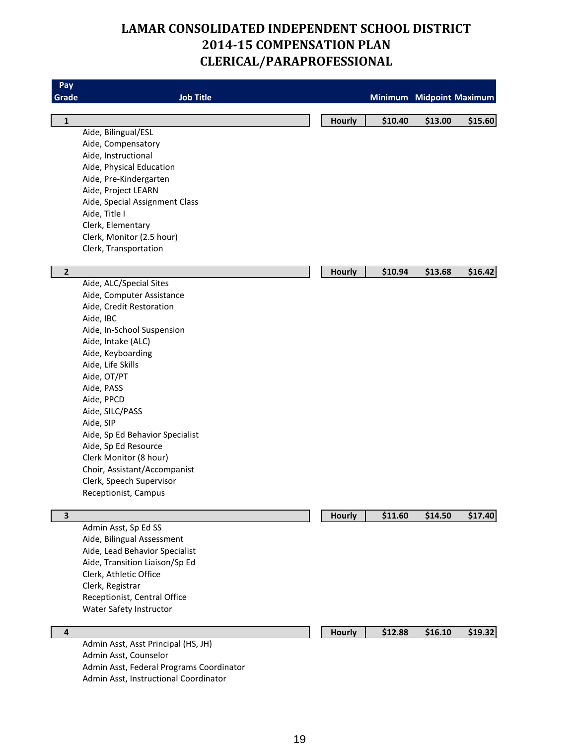## **LAMAR CONSOLIDATED INDEPENDENT SCHOOL DISTRICT 2014-15 COMPENSATION PLAN CLERICAL/PARAPROFESSIONAL**

| Pay            |                                          |               |                          |         |         |
|----------------|------------------------------------------|---------------|--------------------------|---------|---------|
| Grade          | <b>Job Title</b>                         |               | Minimum Midpoint Maximum |         |         |
| $\mathbf{1}$   |                                          | <b>Hourly</b> | \$10.40                  | \$13.00 | \$15.60 |
|                | Aide, Bilingual/ESL                      |               |                          |         |         |
|                | Aide, Compensatory                       |               |                          |         |         |
|                | Aide, Instructional                      |               |                          |         |         |
|                | Aide, Physical Education                 |               |                          |         |         |
|                | Aide, Pre-Kindergarten                   |               |                          |         |         |
|                | Aide, Project LEARN                      |               |                          |         |         |
|                | Aide, Special Assignment Class           |               |                          |         |         |
|                | Aide, Title I                            |               |                          |         |         |
|                | Clerk, Elementary                        |               |                          |         |         |
|                | Clerk, Monitor (2.5 hour)                |               |                          |         |         |
|                | Clerk, Transportation                    |               |                          |         |         |
| $\overline{2}$ |                                          | <b>Hourly</b> | \$10.94                  | \$13.68 | \$16.42 |
|                | Aide, ALC/Special Sites                  |               |                          |         |         |
|                | Aide, Computer Assistance                |               |                          |         |         |
|                | Aide, Credit Restoration                 |               |                          |         |         |
|                | Aide, IBC                                |               |                          |         |         |
|                | Aide, In-School Suspension               |               |                          |         |         |
|                | Aide, Intake (ALC)                       |               |                          |         |         |
|                | Aide, Keyboarding                        |               |                          |         |         |
|                | Aide, Life Skills                        |               |                          |         |         |
|                | Aide, OT/PT                              |               |                          |         |         |
|                | Aide, PASS                               |               |                          |         |         |
|                | Aide, PPCD                               |               |                          |         |         |
|                | Aide, SILC/PASS                          |               |                          |         |         |
|                | Aide, SIP                                |               |                          |         |         |
|                | Aide, Sp Ed Behavior Specialist          |               |                          |         |         |
|                | Aide, Sp Ed Resource                     |               |                          |         |         |
|                | Clerk Monitor (8 hour)                   |               |                          |         |         |
|                | Choir, Assistant/Accompanist             |               |                          |         |         |
|                | Clerk, Speech Supervisor                 |               |                          |         |         |
|                | Receptionist, Campus                     |               |                          |         |         |
| 3              |                                          | <b>Hourly</b> | \$11.60                  | \$14.50 | \$17.40 |
|                | Admin Asst, Sp Ed SS                     |               |                          |         |         |
|                | Aide, Bilingual Assessment               |               |                          |         |         |
|                | Aide, Lead Behavior Specialist           |               |                          |         |         |
|                | Aide, Transition Liaison/Sp Ed           |               |                          |         |         |
|                | Clerk, Athletic Office                   |               |                          |         |         |
|                | Clerk, Registrar                         |               |                          |         |         |
|                | Receptionist, Central Office             |               |                          |         |         |
|                | Water Safety Instructor                  |               |                          |         |         |
| $\overline{4}$ |                                          | <b>Hourly</b> | \$12.88                  | \$16.10 | \$19.32 |
|                | Admin Asst, Asst Principal (HS, JH)      |               |                          |         |         |
|                | Admin Asst, Counselor                    |               |                          |         |         |
|                | Admin Asst, Federal Programs Coordinator |               |                          |         |         |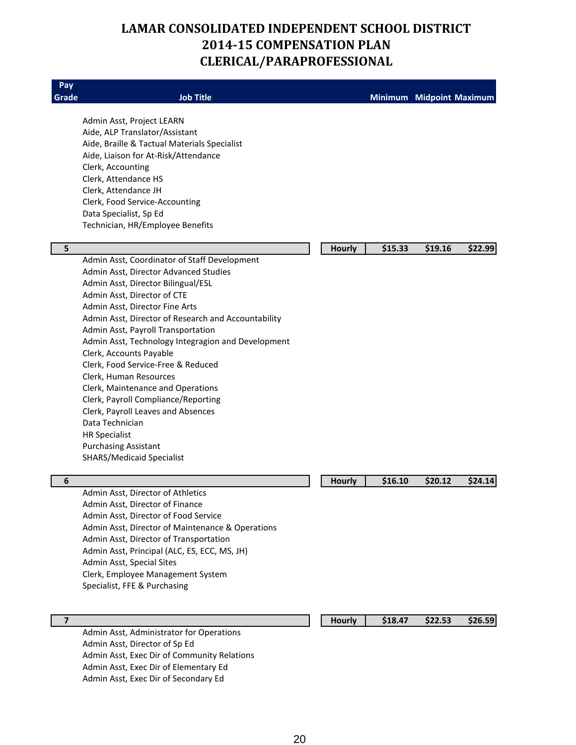## **LAMAR CONSOLIDATED INDEPENDENT SCHOOL DISTRICT 2014-15 COMPENSATION PLAN CLERICAL/PARAPROFESSIONAL**

| Pay                     |                                                     |               |         |                          |         |
|-------------------------|-----------------------------------------------------|---------------|---------|--------------------------|---------|
| Grade                   | <b>Job Title</b>                                    |               |         | Minimum Midpoint Maximum |         |
|                         | Admin Asst, Project LEARN                           |               |         |                          |         |
|                         | Aide, ALP Translator/Assistant                      |               |         |                          |         |
|                         | Aide, Braille & Tactual Materials Specialist        |               |         |                          |         |
|                         | Aide, Liaison for At-Risk/Attendance                |               |         |                          |         |
|                         | Clerk, Accounting                                   |               |         |                          |         |
|                         | Clerk, Attendance HS                                |               |         |                          |         |
|                         | Clerk, Attendance JH                                |               |         |                          |         |
|                         | Clerk, Food Service-Accounting                      |               |         |                          |         |
|                         | Data Specialist, Sp Ed                              |               |         |                          |         |
|                         | Technician, HR/Employee Benefits                    |               |         |                          |         |
| 5                       |                                                     | <b>Hourly</b> | \$15.33 | \$19.16                  | \$22.99 |
|                         | Admin Asst, Coordinator of Staff Development        |               |         |                          |         |
|                         | Admin Asst, Director Advanced Studies               |               |         |                          |         |
|                         | Admin Asst, Director Bilingual/ESL                  |               |         |                          |         |
|                         | Admin Asst, Director of CTE                         |               |         |                          |         |
|                         | Admin Asst, Director Fine Arts                      |               |         |                          |         |
|                         | Admin Asst, Director of Research and Accountability |               |         |                          |         |
|                         | Admin Asst, Payroll Transportation                  |               |         |                          |         |
|                         | Admin Asst, Technology Integragion and Development  |               |         |                          |         |
|                         | Clerk, Accounts Payable                             |               |         |                          |         |
|                         | Clerk, Food Service-Free & Reduced                  |               |         |                          |         |
|                         | Clerk, Human Resources                              |               |         |                          |         |
|                         | Clerk, Maintenance and Operations                   |               |         |                          |         |
|                         | Clerk, Payroll Compliance/Reporting                 |               |         |                          |         |
|                         | Clerk, Payroll Leaves and Absences                  |               |         |                          |         |
|                         | Data Technician                                     |               |         |                          |         |
|                         | <b>HR Specialist</b>                                |               |         |                          |         |
|                         | <b>Purchasing Assistant</b>                         |               |         |                          |         |
|                         | <b>SHARS/Medicaid Specialist</b>                    |               |         |                          |         |
| 6                       |                                                     | Hourly        | \$16.10 | \$20.12                  | \$24.14 |
|                         | Admin Asst, Director of Athletics                   |               |         |                          |         |
|                         | Admin Asst, Director of Finance                     |               |         |                          |         |
|                         | Admin Asst, Director of Food Service                |               |         |                          |         |
|                         | Admin Asst, Director of Maintenance & Operations    |               |         |                          |         |
|                         | Admin Asst, Director of Transportation              |               |         |                          |         |
|                         | Admin Asst, Principal (ALC, ES, ECC, MS, JH)        |               |         |                          |         |
|                         | Admin Asst, Special Sites                           |               |         |                          |         |
|                         | Clerk, Employee Management System                   |               |         |                          |         |
|                         | Specialist, FFE & Purchasing                        |               |         |                          |         |
|                         |                                                     |               |         |                          |         |
| $\overline{\mathbf{z}}$ | Admin Asst, Administrator for Operations            | <b>Hourly</b> | \$18.47 | \$22.53                  | \$26.59 |
|                         | Admin Asst, Director of Sp Ed                       |               |         |                          |         |
|                         | Admin Asst, Exec Dir of Community Relations         |               |         |                          |         |
|                         | Admin Asst, Exec Dir of Elementary Ed               |               |         |                          |         |
|                         | Admin Asst, Exec Dir of Secondary Ed                |               |         |                          |         |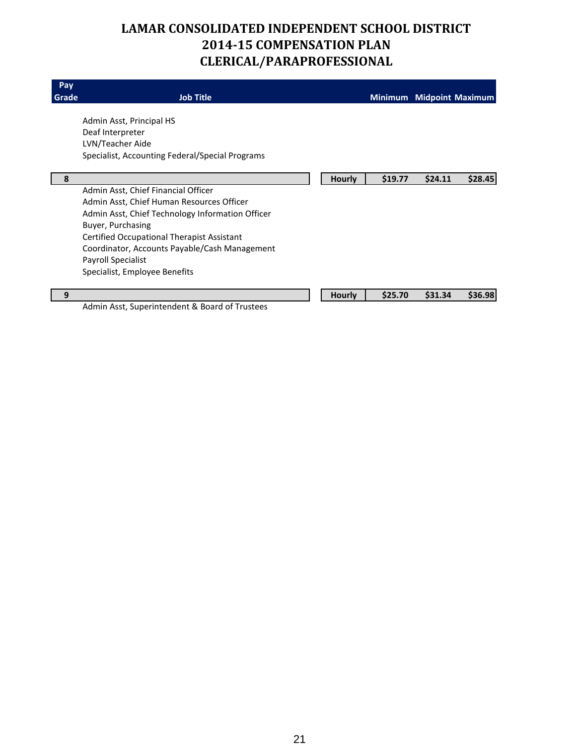## **LAMAR CONSOLIDATED INDEPENDENT SCHOOL DISTRICT 2014-15 COMPENSATION PLAN CLERICAL/PARAPROFESSIONAL**

| Pay<br>Grade | <b>Job Title</b>                                 |               |         | Minimum Midpoint Maximum |         |
|--------------|--------------------------------------------------|---------------|---------|--------------------------|---------|
|              | Admin Asst, Principal HS                         |               |         |                          |         |
|              | Deaf Interpreter                                 |               |         |                          |         |
|              | LVN/Teacher Aide                                 |               |         |                          |         |
|              | Specialist, Accounting Federal/Special Programs  |               |         |                          |         |
| 8            |                                                  | <b>Hourly</b> | \$19.77 | \$24.11                  | \$28.45 |
|              | Admin Asst, Chief Financial Officer              |               |         |                          |         |
|              | Admin Asst, Chief Human Resources Officer        |               |         |                          |         |
|              | Admin Asst, Chief Technology Information Officer |               |         |                          |         |
|              | Buyer, Purchasing                                |               |         |                          |         |
|              | Certified Occupational Therapist Assistant       |               |         |                          |         |
|              | Coordinator, Accounts Payable/Cash Management    |               |         |                          |         |
|              | Payroll Specialist                               |               |         |                          |         |
|              | Specialist, Employee Benefits                    |               |         |                          |         |
| 9            |                                                  | <b>Hourly</b> | \$25.70 | \$31.34                  | \$36.98 |
|              | Admin Asst, Superintendent & Board of Trustees   |               |         |                          |         |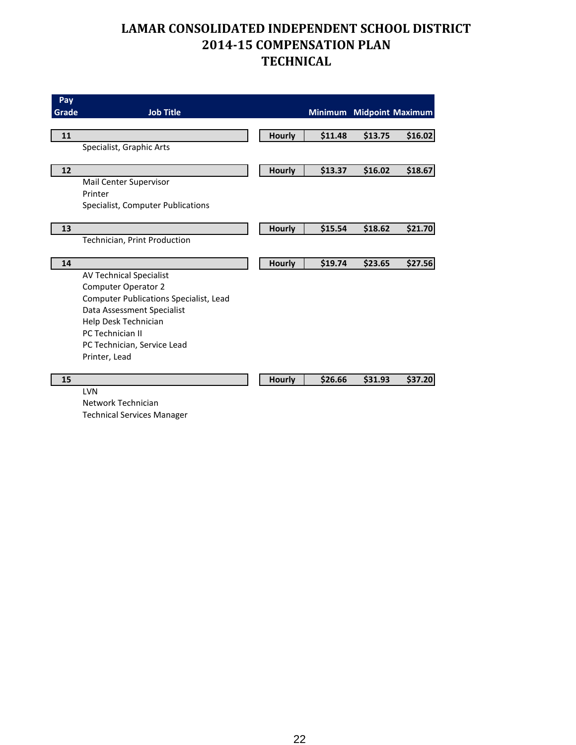| Pay   |                                               |               |         |         |                          |
|-------|-----------------------------------------------|---------------|---------|---------|--------------------------|
| Grade | <b>Job Title</b>                              |               |         |         | Minimum Midpoint Maximum |
|       |                                               |               |         |         |                          |
| 11    |                                               | <b>Hourly</b> | \$11.48 | \$13.75 | \$16.02                  |
|       | Specialist, Graphic Arts                      |               |         |         |                          |
| 12    |                                               | <b>Hourly</b> | \$13.37 | \$16.02 | \$18.67                  |
|       | Mail Center Supervisor                        |               |         |         |                          |
|       | Printer                                       |               |         |         |                          |
|       | Specialist, Computer Publications             |               |         |         |                          |
|       |                                               |               |         |         |                          |
| 13    |                                               | <b>Hourly</b> | \$15.54 | \$18.62 | \$21.70                  |
|       | Technician, Print Production                  |               |         |         |                          |
| 14    |                                               | <b>Hourly</b> | \$19.74 | \$23.65 | \$27.56                  |
|       | <b>AV Technical Specialist</b>                |               |         |         |                          |
|       | <b>Computer Operator 2</b>                    |               |         |         |                          |
|       | <b>Computer Publications Specialist, Lead</b> |               |         |         |                          |
|       | Data Assessment Specialist                    |               |         |         |                          |
|       | Help Desk Technician                          |               |         |         |                          |
|       | <b>PC Technician II</b>                       |               |         |         |                          |
|       | PC Technician, Service Lead                   |               |         |         |                          |
|       | Printer, Lead                                 |               |         |         |                          |
| 15    |                                               | <b>Hourly</b> | \$26.66 | \$31.93 | \$37.20                  |
|       | <b>LVN</b>                                    |               |         |         |                          |

Network Technician Technical Services Manager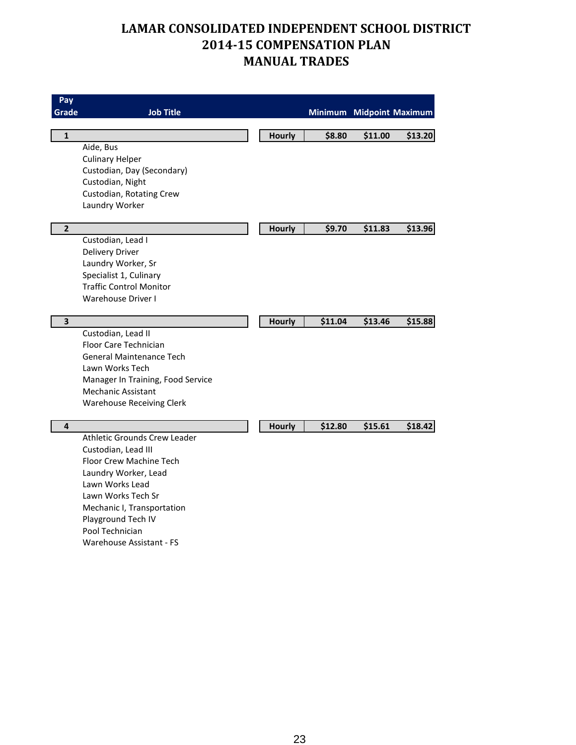| Pay<br>Grade   | <b>Job Title</b>                                         |               |         | Minimum Midpoint Maximum |         |
|----------------|----------------------------------------------------------|---------------|---------|--------------------------|---------|
| $\mathbf{1}$   |                                                          | <b>Hourly</b> | \$8.80  | \$11.00                  | \$13.20 |
|                | Aide, Bus                                                |               |         |                          |         |
|                | <b>Culinary Helper</b>                                   |               |         |                          |         |
|                | Custodian, Day (Secondary)                               |               |         |                          |         |
|                | Custodian, Night<br>Custodian, Rotating Crew             |               |         |                          |         |
|                | Laundry Worker                                           |               |         |                          |         |
|                |                                                          |               |         |                          |         |
| $\overline{2}$ |                                                          | Hourly        | \$9.70  | \$11.83                  | \$13.96 |
|                | Custodian, Lead I                                        |               |         |                          |         |
|                | <b>Delivery Driver</b>                                   |               |         |                          |         |
|                | Laundry Worker, Sr                                       |               |         |                          |         |
|                | Specialist 1, Culinary<br><b>Traffic Control Monitor</b> |               |         |                          |         |
|                | <b>Warehouse Driver I</b>                                |               |         |                          |         |
|                |                                                          |               |         |                          |         |
| 3              |                                                          | Hourly        | \$11.04 | \$13.46                  | \$15.88 |
|                | Custodian, Lead II                                       |               |         |                          |         |
|                | Floor Care Technician                                    |               |         |                          |         |
|                | <b>General Maintenance Tech</b><br>Lawn Works Tech       |               |         |                          |         |
|                | Manager In Training, Food Service                        |               |         |                          |         |
|                | <b>Mechanic Assistant</b>                                |               |         |                          |         |
|                | <b>Warehouse Receiving Clerk</b>                         |               |         |                          |         |
|                |                                                          |               |         |                          |         |
| 4              |                                                          | Hourly        | \$12.80 | \$15.61                  | \$18.42 |
|                | Athletic Grounds Crew Leader                             |               |         |                          |         |
|                | Custodian, Lead III<br>Floor Crew Machine Tech           |               |         |                          |         |
|                | Laundry Worker, Lead                                     |               |         |                          |         |
|                | Lawn Works Lead                                          |               |         |                          |         |
|                | Lawn Works Tech Sr                                       |               |         |                          |         |
|                | Mechanic I, Transportation                               |               |         |                          |         |
|                | Playground Tech IV                                       |               |         |                          |         |
|                | Pool Technician                                          |               |         |                          |         |
|                | Warehouse Assistant - FS                                 |               |         |                          |         |
|                |                                                          |               |         |                          |         |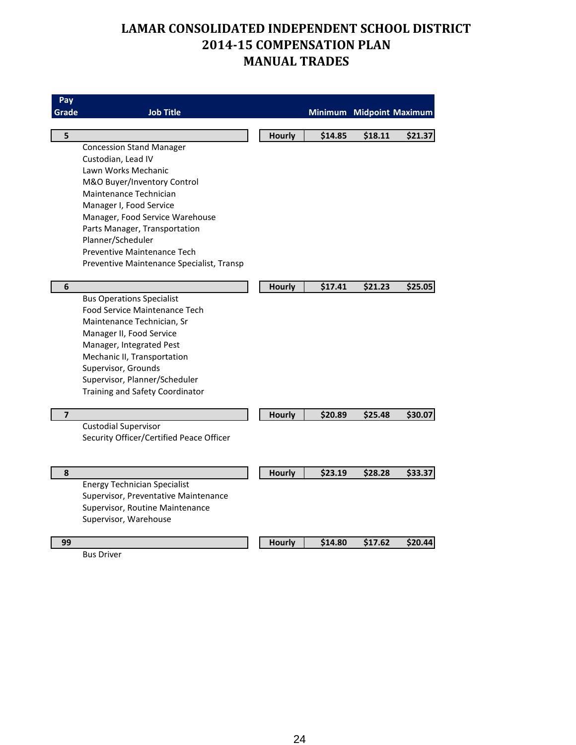| Pay<br>Grade   | <b>Job Title</b>                                                        |               |         | Minimum Midpoint Maximum |         |
|----------------|-------------------------------------------------------------------------|---------------|---------|--------------------------|---------|
| 5              |                                                                         |               |         |                          |         |
|                | <b>Concession Stand Manager</b>                                         | Hourly        | \$14.85 | \$18.11                  | \$21.37 |
|                | Custodian, Lead IV                                                      |               |         |                          |         |
|                | Lawn Works Mechanic                                                     |               |         |                          |         |
|                | M&O Buyer/Inventory Control                                             |               |         |                          |         |
|                | Maintenance Technician                                                  |               |         |                          |         |
|                | Manager I, Food Service                                                 |               |         |                          |         |
|                | Manager, Food Service Warehouse                                         |               |         |                          |         |
|                | Parts Manager, Transportation                                           |               |         |                          |         |
|                | Planner/Scheduler                                                       |               |         |                          |         |
|                | Preventive Maintenance Tech                                             |               |         |                          |         |
|                | Preventive Maintenance Specialist, Transp                               |               |         |                          |         |
|                |                                                                         |               |         |                          |         |
| 6              |                                                                         | <b>Hourly</b> | \$17.41 | \$21.23                  | \$25.05 |
|                | <b>Bus Operations Specialist</b>                                        |               |         |                          |         |
|                | Food Service Maintenance Tech                                           |               |         |                          |         |
|                | Maintenance Technician, Sr                                              |               |         |                          |         |
|                | Manager II, Food Service                                                |               |         |                          |         |
|                | Manager, Integrated Pest                                                |               |         |                          |         |
|                | Mechanic II, Transportation                                             |               |         |                          |         |
|                | Supervisor, Grounds                                                     |               |         |                          |         |
|                | Supervisor, Planner/Scheduler                                           |               |         |                          |         |
|                | Training and Safety Coordinator                                         |               |         |                          |         |
|                |                                                                         |               |         |                          |         |
| $\overline{7}$ |                                                                         | <b>Hourly</b> | \$20.89 | \$25.48                  | \$30.07 |
|                | <b>Custodial Supervisor</b><br>Security Officer/Certified Peace Officer |               |         |                          |         |
|                |                                                                         |               |         |                          |         |
|                |                                                                         |               |         |                          |         |
| 8              |                                                                         | <b>Hourly</b> | \$23.19 | \$28.28                  | \$33.37 |
|                | <b>Energy Technician Specialist</b>                                     |               |         |                          |         |
|                | Supervisor, Preventative Maintenance                                    |               |         |                          |         |
|                | Supervisor, Routine Maintenance                                         |               |         |                          |         |
|                | Supervisor, Warehouse                                                   |               |         |                          |         |
|                |                                                                         |               |         |                          |         |
| 99             |                                                                         | Hourly        | \$14.80 | \$17.62                  | \$20.44 |

Bus Driver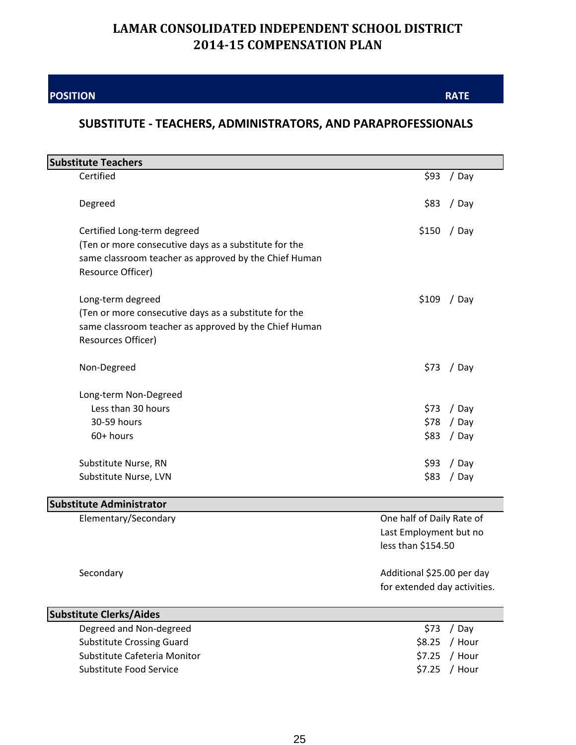**POSITION**

**RATE**

#### **SUBSTITUTE - TEACHERS, ADMINISTRATORS, AND PARAPROFESSIONALS**

| <b>Substitute Teachers</b>                            |                              |
|-------------------------------------------------------|------------------------------|
| Certified                                             | \$93<br>/ Day                |
|                                                       |                              |
| Degreed                                               | \$83<br>/ Day                |
|                                                       |                              |
| Certified Long-term degreed                           | $$150$ / Day                 |
| (Ten or more consecutive days as a substitute for the |                              |
| same classroom teacher as approved by the Chief Human |                              |
| Resource Officer)                                     |                              |
| Long-term degreed                                     | \$109<br>/ Day               |
| (Ten or more consecutive days as a substitute for the |                              |
| same classroom teacher as approved by the Chief Human |                              |
| Resources Officer)                                    |                              |
|                                                       |                              |
| Non-Degreed                                           | \$73<br>/ Day                |
|                                                       |                              |
| Long-term Non-Degreed                                 |                              |
| Less than 30 hours                                    | / Day<br>\$73                |
| 30-59 hours                                           | / Day<br>\$78                |
| 60+ hours                                             | \$83<br>/ Day                |
|                                                       |                              |
| Substitute Nurse, RN                                  | \$93<br>/ Day                |
| Substitute Nurse, LVN                                 | / Day<br>\$83                |
|                                                       |                              |
| <b>Substitute Administrator</b>                       |                              |
| Elementary/Secondary                                  | One half of Daily Rate of    |
|                                                       | Last Employment but no       |
|                                                       | less than \$154.50           |
| Secondary                                             | Additional \$25.00 per day   |
|                                                       | for extended day activities. |
|                                                       |                              |
| <b>Substitute Clerks/Aides</b>                        |                              |
| Degreed and Non-degreed                               | \$73<br>/ Day                |
| <b>Substitute Crossing Guard</b>                      | \$8.25<br>/ Hour             |
| Substitute Cafeteria Monitor                          | \$7.25<br>/ Hour             |
| Substitute Food Service                               | \$7.25<br>/ Hour             |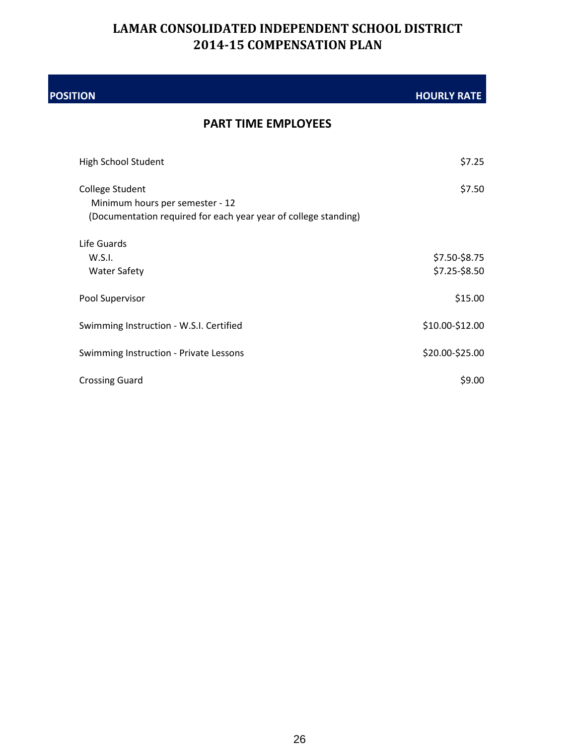| <b>POSITION</b>                                                                                                       | <b>HOURLY RATE</b>             |
|-----------------------------------------------------------------------------------------------------------------------|--------------------------------|
| <b>PART TIME EMPLOYEES</b>                                                                                            |                                |
| High School Student                                                                                                   | \$7.25                         |
| College Student<br>Minimum hours per semester - 12<br>(Documentation required for each year year of college standing) | \$7.50                         |
| Life Guards<br>W.S.I.<br><b>Water Safety</b>                                                                          | \$7.50-\$8.75<br>\$7.25-\$8.50 |
| Pool Supervisor                                                                                                       | \$15.00                        |
| Swimming Instruction - W.S.I. Certified                                                                               | \$10.00-\$12.00                |
| Swimming Instruction - Private Lessons                                                                                | \$20.00-\$25.00                |
| <b>Crossing Guard</b>                                                                                                 | \$9.00                         |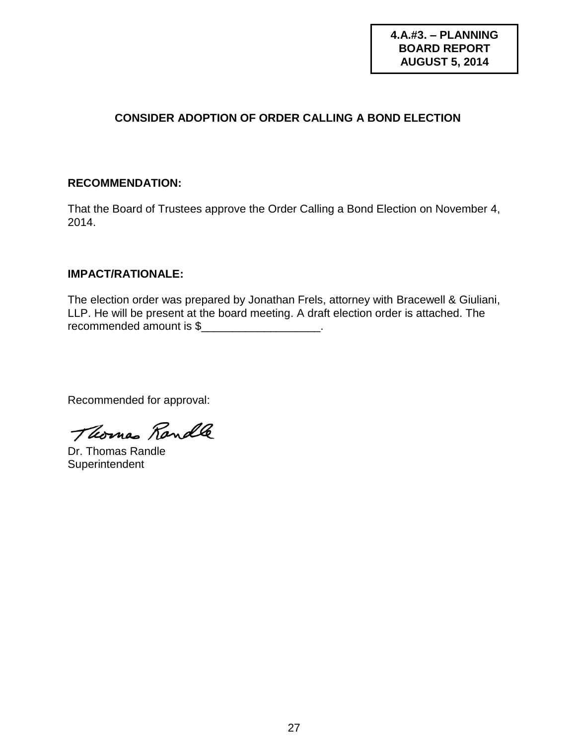**4.A.#3. – PLANNING BOARD REPORT AUGUST 5, 2014**

#### **CONSIDER ADOPTION OF ORDER CALLING A BOND ELECTION**

#### **RECOMMENDATION:**

That the Board of Trustees approve the Order Calling a Bond Election on November 4, 2014.

#### **IMPACT/RATIONALE:**

The election order was prepared by Jonathan Frels, attorney with Bracewell & Giuliani, LLP. He will be present at the board meeting. A draft election order is attached. The recommended amount is \$

Thomas Randle

Dr. Thomas Randle **Superintendent**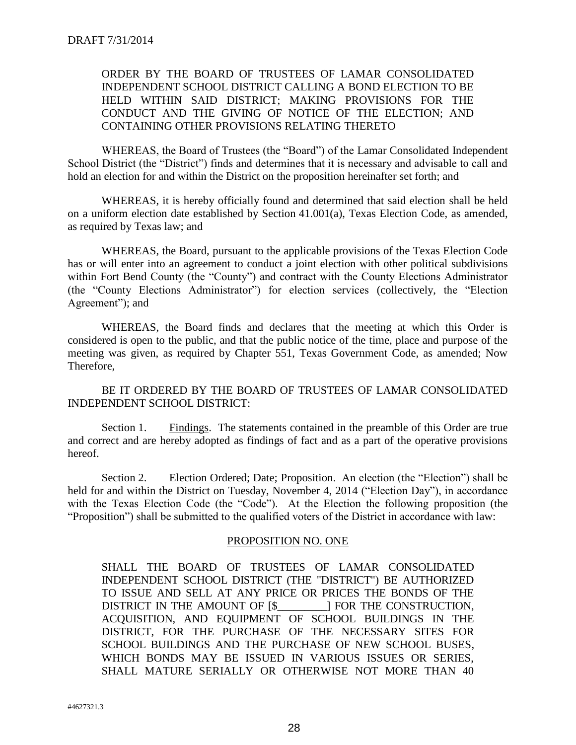#### ORDER BY THE BOARD OF TRUSTEES OF LAMAR CONSOLIDATED INDEPENDENT SCHOOL DISTRICT CALLING A BOND ELECTION TO BE HELD WITHIN SAID DISTRICT; MAKING PROVISIONS FOR THE CONDUCT AND THE GIVING OF NOTICE OF THE ELECTION; AND CONTAINING OTHER PROVISIONS RELATING THERETO

WHEREAS, the Board of Trustees (the "Board") of the Lamar Consolidated Independent School District (the "District") finds and determines that it is necessary and advisable to call and hold an election for and within the District on the proposition hereinafter set forth; and

WHEREAS, it is hereby officially found and determined that said election shall be held on a uniform election date established by Section 41.001(a), Texas Election Code, as amended, as required by Texas law; and

WHEREAS, the Board, pursuant to the applicable provisions of the Texas Election Code has or will enter into an agreement to conduct a joint election with other political subdivisions within Fort Bend County (the "County") and contract with the County Elections Administrator (the "County Elections Administrator") for election services (collectively, the "Election Agreement"); and

WHEREAS, the Board finds and declares that the meeting at which this Order is considered is open to the public, and that the public notice of the time, place and purpose of the meeting was given, as required by Chapter 551, Texas Government Code, as amended; Now Therefore,

BE IT ORDERED BY THE BOARD OF TRUSTEES OF LAMAR CONSOLIDATED INDEPENDENT SCHOOL DISTRICT:

Section 1. Findings. The statements contained in the preamble of this Order are true and correct and are hereby adopted as findings of fact and as a part of the operative provisions hereof.

Section 2. Election Ordered; Date; Proposition. An election (the "Election") shall be held for and within the District on Tuesday, November 4, 2014 ("Election Day"), in accordance with the Texas Election Code (the "Code"). At the Election the following proposition (the "Proposition") shall be submitted to the qualified voters of the District in accordance with law:

#### PROPOSITION NO. ONE

SHALL THE BOARD OF TRUSTEES OF LAMAR CONSOLIDATED INDEPENDENT SCHOOL DISTRICT (THE "DISTRICT") BE AUTHORIZED TO ISSUE AND SELL AT ANY PRICE OR PRICES THE BONDS OF THE DISTRICT IN THE AMOUNT OF [\$\_\_\_\_\_\_\_\_\_] FOR THE CONSTRUCTION, ACQUISITION, AND EQUIPMENT OF SCHOOL BUILDINGS IN THE DISTRICT, FOR THE PURCHASE OF THE NECESSARY SITES FOR SCHOOL BUILDINGS AND THE PURCHASE OF NEW SCHOOL BUSES, WHICH BONDS MAY BE ISSUED IN VARIOUS ISSUES OR SERIES, SHALL MATURE SERIALLY OR OTHERWISE NOT MORE THAN 40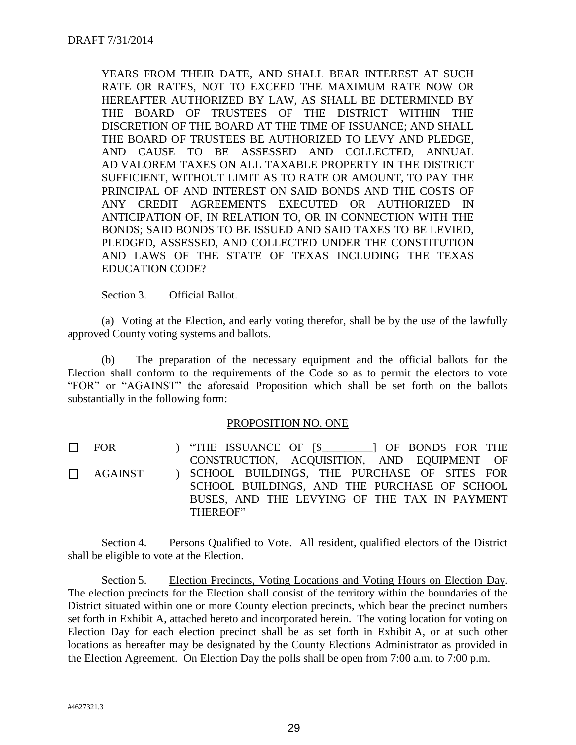YEARS FROM THEIR DATE, AND SHALL BEAR INTEREST AT SUCH RATE OR RATES, NOT TO EXCEED THE MAXIMUM RATE NOW OR HEREAFTER AUTHORIZED BY LAW, AS SHALL BE DETERMINED BY THE BOARD OF TRUSTEES OF THE DISTRICT WITHIN THE DISCRETION OF THE BOARD AT THE TIME OF ISSUANCE; AND SHALL THE BOARD OF TRUSTEES BE AUTHORIZED TO LEVY AND PLEDGE, AND CAUSE TO BE ASSESSED AND COLLECTED, ANNUAL AD VALOREM TAXES ON ALL TAXABLE PROPERTY IN THE DISTRICT SUFFICIENT, WITHOUT LIMIT AS TO RATE OR AMOUNT, TO PAY THE PRINCIPAL OF AND INTEREST ON SAID BONDS AND THE COSTS OF ANY CREDIT AGREEMENTS EXECUTED OR AUTHORIZED IN ANTICIPATION OF, IN RELATION TO, OR IN CONNECTION WITH THE BONDS; SAID BONDS TO BE ISSUED AND SAID TAXES TO BE LEVIED, PLEDGED, ASSESSED, AND COLLECTED UNDER THE CONSTITUTION AND LAWS OF THE STATE OF TEXAS INCLUDING THE TEXAS EDUCATION CODE?

#### Section 3. Official Ballot.

(a) Voting at the Election, and early voting therefor, shall be by the use of the lawfully approved County voting systems and ballots.

(b) The preparation of the necessary equipment and the official ballots for the Election shall conform to the requirements of the Code so as to permit the electors to vote "FOR" or "AGAINST" the aforesaid Proposition which shall be set forth on the ballots substantially in the following form:

#### PROPOSITION NO. ONE

 $\Box$  FOR ) "THE ISSUANCE OF [\$\_\_\_\_\_\_\_] OF BONDS FOR THE CONSTRUCTION, ACOUISITION, AND EOUIPMENT OF CONSTRUCTION, ACQUISITION, AND EQUIPMENT SCHOOL BUILDINGS, THE PURCHASE OF SITES FOR SCHOOL BUILDINGS, AND THE PURCHASE OF SCHOOL BUSES, AND THE LEVYING OF THE TAX IN PAYMENT THEREOF"  $\Box$  AGAINST

Section 4. Persons Qualified to Vote. All resident, qualified electors of the District shall be eligible to vote at the Election.

Section 5. Election Precincts, Voting Locations and Voting Hours on Election Day. The election precincts for the Election shall consist of the territory within the boundaries of the District situated within one or more County election precincts, which bear the precinct numbers set forth in Exhibit A, attached hereto and incorporated herein. The voting location for voting on Election Day for each election precinct shall be as set forth in Exhibit A, or at such other locations as hereafter may be designated by the County Elections Administrator as provided in the Election Agreement. On Election Day the polls shall be open from 7:00 a.m. to 7:00 p.m.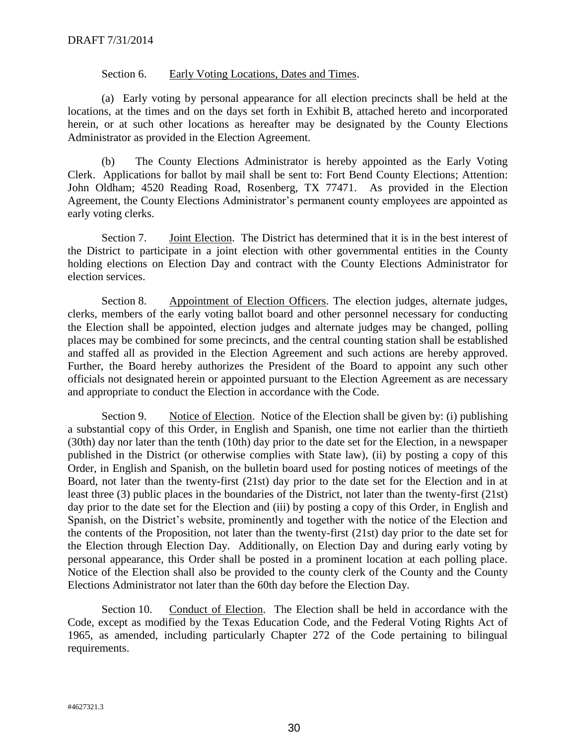#### Section 6. Early Voting Locations, Dates and Times.

(a) Early voting by personal appearance for all election precincts shall be held at the locations, at the times and on the days set forth in Exhibit B, attached hereto and incorporated herein, or at such other locations as hereafter may be designated by the County Elections Administrator as provided in the Election Agreement.

(b) The County Elections Administrator is hereby appointed as the Early Voting Clerk. Applications for ballot by mail shall be sent to: Fort Bend County Elections; Attention: John Oldham; 4520 Reading Road, Rosenberg, TX 77471. As provided in the Election Agreement, the County Elections Administrator's permanent county employees are appointed as early voting clerks.

Section 7. Joint Election. The District has determined that it is in the best interest of the District to participate in a joint election with other governmental entities in the County holding elections on Election Day and contract with the County Elections Administrator for election services.

Section 8. Appointment of Election Officers. The election judges, alternate judges, clerks, members of the early voting ballot board and other personnel necessary for conducting the Election shall be appointed, election judges and alternate judges may be changed, polling places may be combined for some precincts, and the central counting station shall be established and staffed all as provided in the Election Agreement and such actions are hereby approved. Further, the Board hereby authorizes the President of the Board to appoint any such other officials not designated herein or appointed pursuant to the Election Agreement as are necessary and appropriate to conduct the Election in accordance with the Code.

Section 9. Notice of Election. Notice of the Election shall be given by: (i) publishing a substantial copy of this Order, in English and Spanish, one time not earlier than the thirtieth (30th) day nor later than the tenth (10th) day prior to the date set for the Election, in a newspaper published in the District (or otherwise complies with State law), (ii) by posting a copy of this Order, in English and Spanish, on the bulletin board used for posting notices of meetings of the Board, not later than the twenty-first (21st) day prior to the date set for the Election and in at least three (3) public places in the boundaries of the District, not later than the twenty-first (21st) day prior to the date set for the Election and (iii) by posting a copy of this Order, in English and Spanish, on the District's website, prominently and together with the notice of the Election and the contents of the Proposition, not later than the twenty-first (21st) day prior to the date set for the Election through Election Day. Additionally, on Election Day and during early voting by personal appearance, this Order shall be posted in a prominent location at each polling place. Notice of the Election shall also be provided to the county clerk of the County and the County Elections Administrator not later than the 60th day before the Election Day.

Section 10. Conduct of Election. The Election shall be held in accordance with the Code, except as modified by the Texas Education Code, and the Federal Voting Rights Act of 1965, as amended, including particularly Chapter 272 of the Code pertaining to bilingual requirements.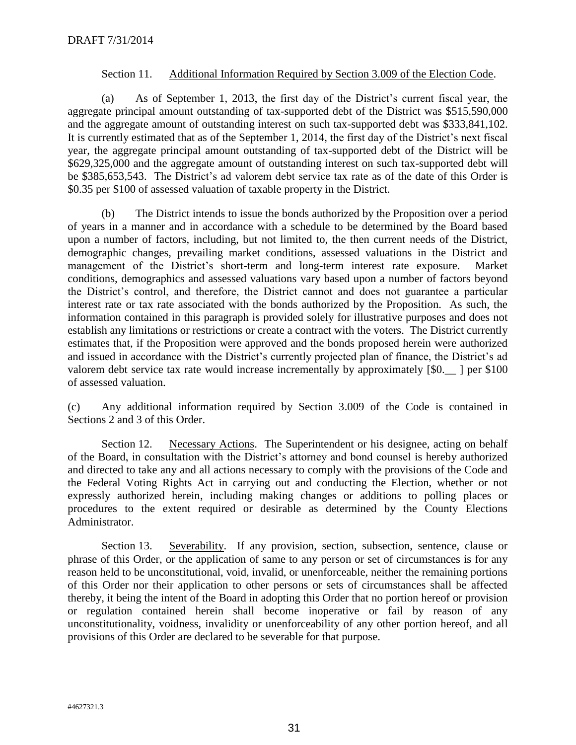#### Section 11. Additional Information Required by Section 3.009 of the Election Code.

(a) As of September 1, 2013, the first day of the District's current fiscal year, the aggregate principal amount outstanding of tax-supported debt of the District was \$515,590,000 and the aggregate amount of outstanding interest on such tax-supported debt was \$333,841,102. It is currently estimated that as of the September 1, 2014, the first day of the District's next fiscal year, the aggregate principal amount outstanding of tax-supported debt of the District will be \$629,325,000 and the aggregate amount of outstanding interest on such tax-supported debt will be \$385,653,543. The District's ad valorem debt service tax rate as of the date of this Order is \$0.35 per \$100 of assessed valuation of taxable property in the District.

(b) The District intends to issue the bonds authorized by the Proposition over a period of years in a manner and in accordance with a schedule to be determined by the Board based upon a number of factors, including, but not limited to, the then current needs of the District, demographic changes, prevailing market conditions, assessed valuations in the District and management of the District's short-term and long-term interest rate exposure. Market conditions, demographics and assessed valuations vary based upon a number of factors beyond the District's control, and therefore, the District cannot and does not guarantee a particular interest rate or tax rate associated with the bonds authorized by the Proposition. As such, the information contained in this paragraph is provided solely for illustrative purposes and does not establish any limitations or restrictions or create a contract with the voters. The District currently estimates that, if the Proposition were approved and the bonds proposed herein were authorized and issued in accordance with the District's currently projected plan of finance, the District's ad valorem debt service tax rate would increase incrementally by approximately [\$0.  $\Box$ ] per \$100 of assessed valuation.

(c) Any additional information required by Section 3.009 of the Code is contained in Sections 2 and 3 of this Order.

Section 12. Necessary Actions. The Superintendent or his designee, acting on behalf of the Board, in consultation with the District's attorney and bond counsel is hereby authorized and directed to take any and all actions necessary to comply with the provisions of the Code and the Federal Voting Rights Act in carrying out and conducting the Election, whether or not expressly authorized herein, including making changes or additions to polling places or procedures to the extent required or desirable as determined by the County Elections Administrator.

Section 13. Severability. If any provision, section, subsection, sentence, clause or phrase of this Order, or the application of same to any person or set of circumstances is for any reason held to be unconstitutional, void, invalid, or unenforceable, neither the remaining portions of this Order nor their application to other persons or sets of circumstances shall be affected thereby, it being the intent of the Board in adopting this Order that no portion hereof or provision or regulation contained herein shall become inoperative or fail by reason of any unconstitutionality, voidness, invalidity or unenforceability of any other portion hereof, and all provisions of this Order are declared to be severable for that purpose.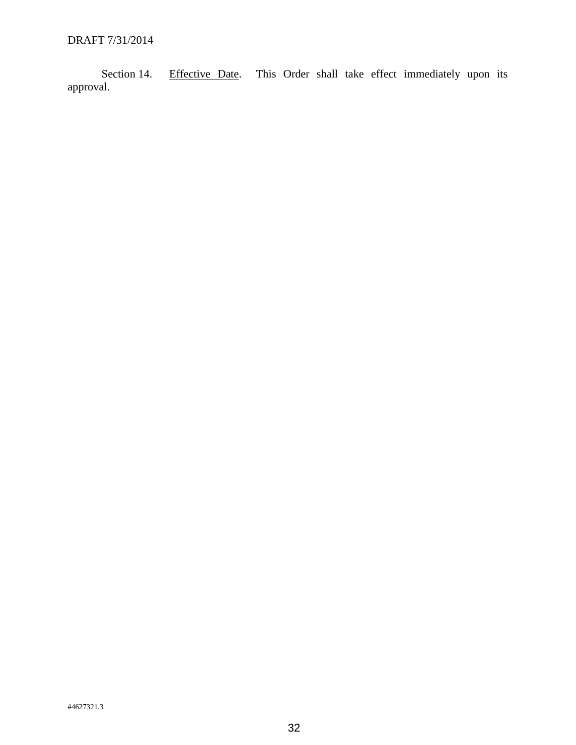Section 14. Effective Date. This Order shall take effect immediately upon its approval.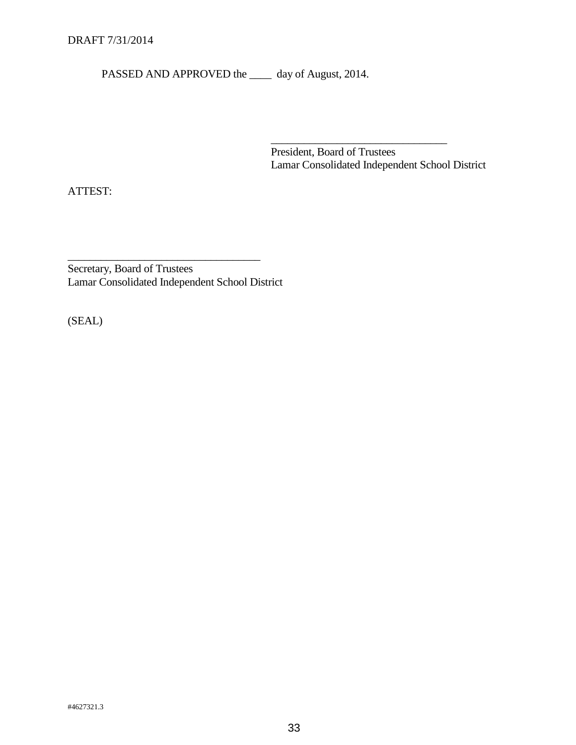PASSED AND APPROVED the \_\_\_\_\_ day of August, 2014.

President, Board of Trustees Lamar Consolidated Independent School District

\_\_\_\_\_\_\_\_\_\_\_\_\_\_\_\_\_\_\_\_\_\_\_\_\_\_\_\_\_\_\_\_

ATTEST:

Secretary, Board of Trustees Lamar Consolidated Independent School District

\_\_\_\_\_\_\_\_\_\_\_\_\_\_\_\_\_\_\_\_\_\_\_\_\_\_\_\_\_\_\_\_\_\_\_

(SEAL)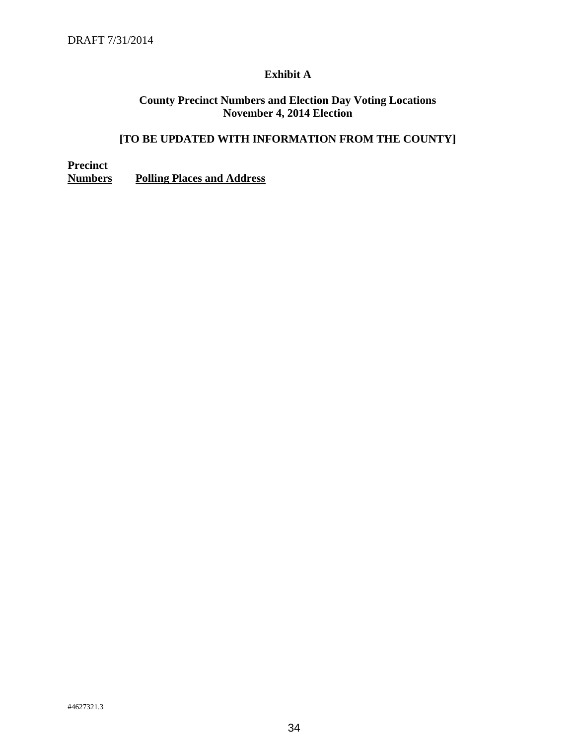#### **Exhibit A**

#### **County Precinct Numbers and Election Day Voting Locations November 4, 2014 Election**

#### **[TO BE UPDATED WITH INFORMATION FROM THE COUNTY]**

**Precinct Numbers Polling Places and Address**